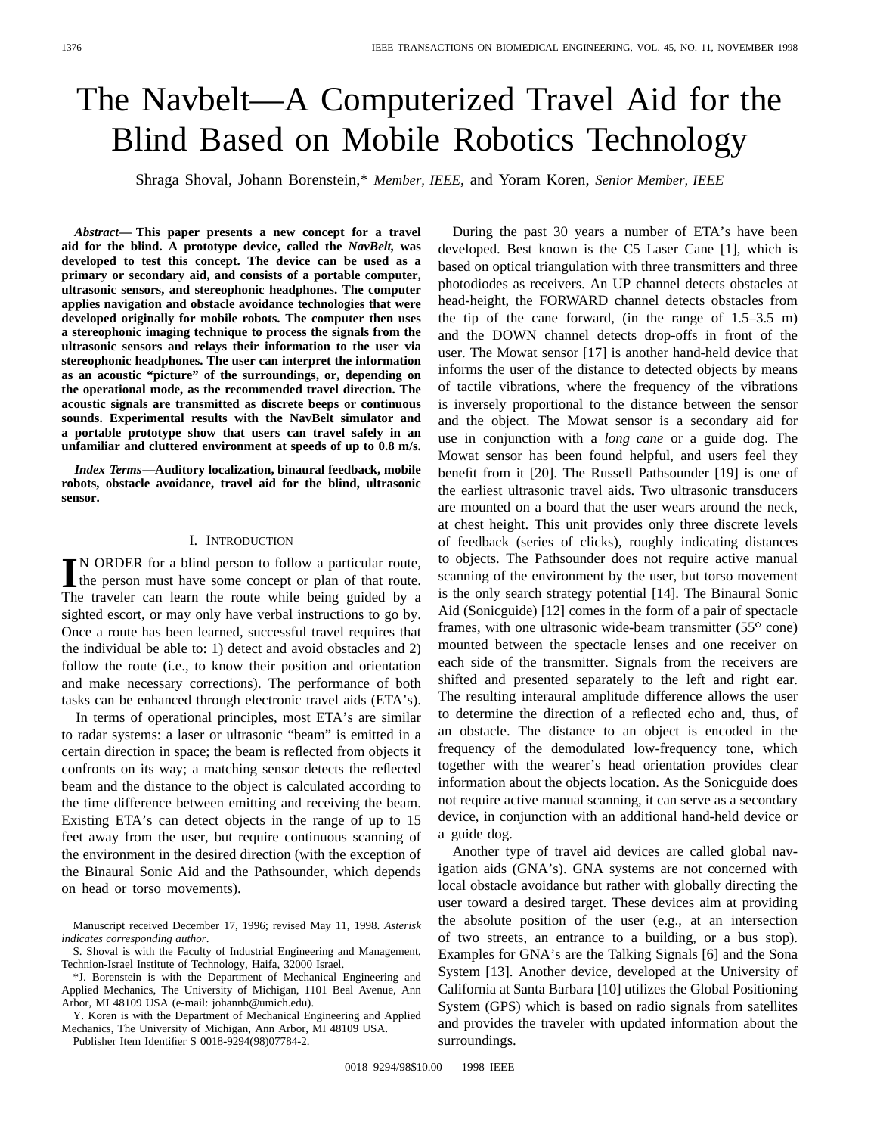# The Navbelt—A Computerized Travel Aid for the Blind Based on Mobile Robotics Technology

Shraga Shoval, Johann Borenstein,\* *Member, IEEE*, and Yoram Koren, *Senior Member, IEEE*

*Abstract—* **This paper presents a new concept for a travel aid for the blind. A prototype device, called the** *NavBelt,* **was developed to test this concept. The device can be used as a primary or secondary aid, and consists of a portable computer, ultrasonic sensors, and stereophonic headphones. The computer applies navigation and obstacle avoidance technologies that were developed originally for mobile robots. The computer then uses a stereophonic imaging technique to process the signals from the ultrasonic sensors and relays their information to the user via stereophonic headphones. The user can interpret the information as an acoustic "picture" of the surroundings, or, depending on the operational mode, as the recommended travel direction. The acoustic signals are transmitted as discrete beeps or continuous sounds. Experimental results with the NavBelt simulator and a portable prototype show that users can travel safely in an unfamiliar and cluttered environment at speeds of up to 0.8 m/s.**

*Index Terms—***Auditory localization, binaural feedback, mobile robots, obstacle avoidance, travel aid for the blind, ultrasonic sensor.**

#### I. INTRODUCTION

IN ORDER for a blind person to follow a particular route,<br>the person must have some concept or plan of that route. N ORDER for a blind person to follow a particular route, The traveler can learn the route while being guided by a sighted escort, or may only have verbal instructions to go by. Once a route has been learned, successful travel requires that the individual be able to: 1) detect and avoid obstacles and 2) follow the route (i.e., to know their position and orientation and make necessary corrections). The performance of both tasks can be enhanced through electronic travel aids (ETA's).

In terms of operational principles, most ETA's are similar to radar systems: a laser or ultrasonic "beam" is emitted in a certain direction in space; the beam is reflected from objects it confronts on its way; a matching sensor detects the reflected beam and the distance to the object is calculated according to the time difference between emitting and receiving the beam. Existing ETA's can detect objects in the range of up to 15 feet away from the user, but require continuous scanning of the environment in the desired direction (with the exception of the Binaural Sonic Aid and the Pathsounder, which depends on head or torso movements).

\*J. Borenstein is with the Department of Mechanical Engineering and Applied Mechanics, The University of Michigan, 1101 Beal Avenue, Ann Arbor, MI 48109 USA (e-mail: johannb@umich.edu).

Y. Koren is with the Department of Mechanical Engineering and Applied Mechanics, The University of Michigan, Ann Arbor, MI 48109 USA.

Publisher Item Identifier S 0018-9294(98)07784-2.

During the past 30 years a number of ETA's have been developed. Best known is the C5 Laser Cane [1], which is based on optical triangulation with three transmitters and three photodiodes as receivers. An UP channel detects obstacles at head-height, the FORWARD channel detects obstacles from the tip of the cane forward, (in the range of  $1.5-3.5$  m) and the DOWN channel detects drop-offs in front of the user. The Mowat sensor [17] is another hand-held device that informs the user of the distance to detected objects by means of tactile vibrations, where the frequency of the vibrations is inversely proportional to the distance between the sensor and the object. The Mowat sensor is a secondary aid for use in conjunction with a *long cane* or a guide dog. The Mowat sensor has been found helpful, and users feel they benefit from it [20]. The Russell Pathsounder [19] is one of the earliest ultrasonic travel aids. Two ultrasonic transducers are mounted on a board that the user wears around the neck, at chest height. This unit provides only three discrete levels of feedback (series of clicks), roughly indicating distances to objects. The Pathsounder does not require active manual scanning of the environment by the user, but torso movement is the only search strategy potential [14]. The Binaural Sonic Aid (Sonicguide) [12] comes in the form of a pair of spectacle frames, with one ultrasonic wide-beam transmitter  $(55^{\circ} \text{ cone})$ mounted between the spectacle lenses and one receiver on each side of the transmitter. Signals from the receivers are shifted and presented separately to the left and right ear. The resulting interaural amplitude difference allows the user to determine the direction of a reflected echo and, thus, of an obstacle. The distance to an object is encoded in the frequency of the demodulated low-frequency tone, which together with the wearer's head orientation provides clear information about the objects location. As the Sonicguide does not require active manual scanning, it can serve as a secondary device, in conjunction with an additional hand-held device or a guide dog.

Another type of travel aid devices are called global navigation aids (GNA's). GNA systems are not concerned with local obstacle avoidance but rather with globally directing the user toward a desired target. These devices aim at providing the absolute position of the user (e.g., at an intersection of two streets, an entrance to a building, or a bus stop). Examples for GNA's are the Talking Signals [6] and the Sona System [13]. Another device, developed at the University of California at Santa Barbara [10] utilizes the Global Positioning System (GPS) which is based on radio signals from satellites and provides the traveler with updated information about the surroundings.

Manuscript received December 17, 1996; revised May 11, 1998. *Asterisk indicates corresponding author*.

S. Shoval is with the Faculty of Industrial Engineering and Management, Technion-Israel Institute of Technology, Haifa, 32000 Israel.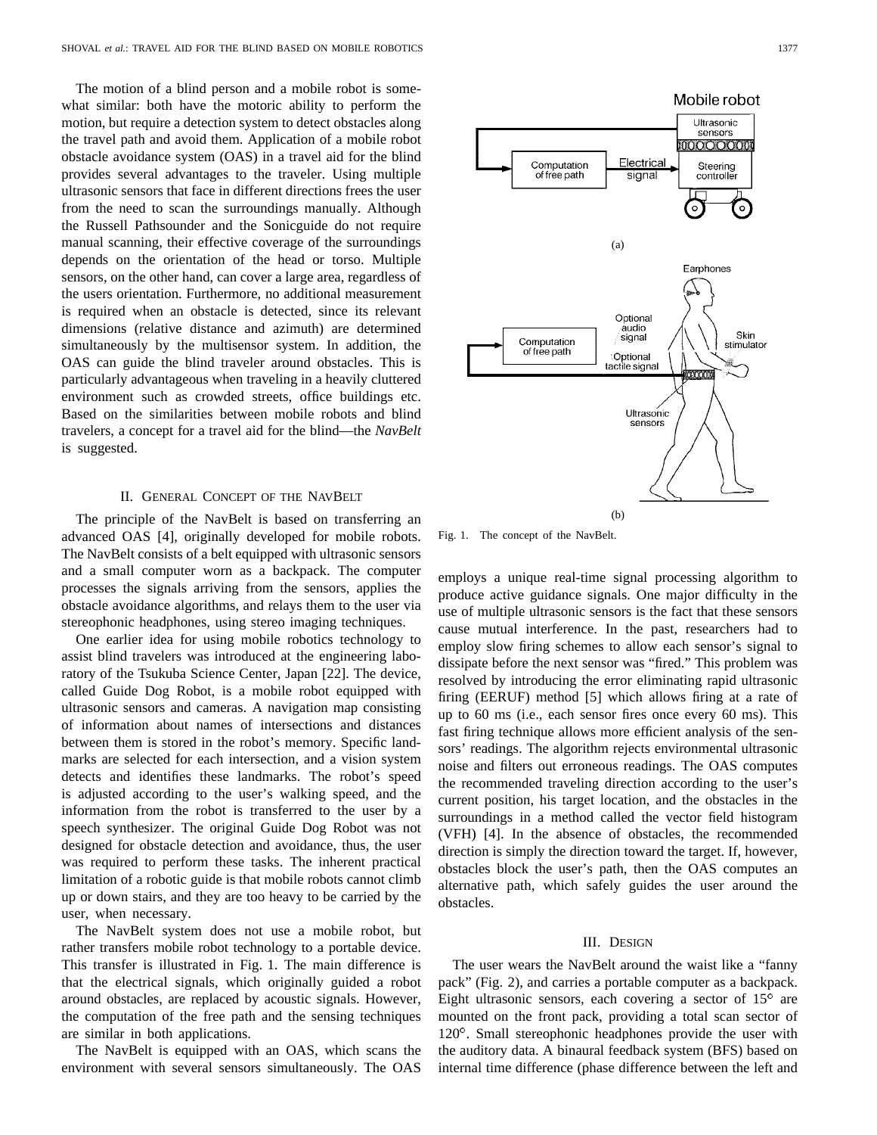The motion of a blind person and a mobile robot is somewhat similar: both have the motoric ability to perform the motion, but require a detection system to detect obstacles along the travel path and avoid them. Application of a mobile robot obstacle avoidance system (OAS) in a travel aid for the blind provides several advantages to the traveler. Using multiple ultrasonic sensors that face in different directions frees the user from the need to scan the surroundings manually. Although the Russell Pathsounder and the Sonicguide do not require manual scanning, their effective coverage of the surroundings depends on the orientation of the head or torso. Multiple sensors, on the other hand, can cover a large area, regardless of the users orientation. Furthermore, no additional measurement is required when an obstacle is detected, since its relevant dimensions (relative distance and azimuth) are determined simultaneously by the multisensor system. In addition, the OAS can guide the blind traveler around obstacles. This is particularly advantageous when traveling in a heavily cluttered environment such as crowded streets, office buildings etc. Based on the similarities between mobile robots and blind travelers, a concept for a travel aid for the blind—the *NavBelt* is suggested.

# II. GENERAL CONCEPT OF THE NAVBELT

The principle of the NavBelt is based on transferring an advanced OAS [4], originally developed for mobile robots. The NavBelt consists of a belt equipped with ultrasonic sensors and a small computer worn as a backpack. The computer processes the signals arriving from the sensors, applies the obstacle avoidance algorithms, and relays them to the user via stereophonic headphones, using stereo imaging techniques.

One earlier idea for using mobile robotics technology to assist blind travelers was introduced at the engineering laboratory of the Tsukuba Science Center, Japan [22]. The device, called Guide Dog Robot, is a mobile robot equipped with ultrasonic sensors and cameras. A navigation map consisting of information about names of intersections and distances between them is stored in the robot's memory. Specific landmarks are selected for each intersection, and a vision system detects and identifies these landmarks. The robot's speed is adjusted according to the user's walking speed, and the information from the robot is transferred to the user by a speech synthesizer. The original Guide Dog Robot was not designed for obstacle detection and avoidance, thus, the user was required to perform these tasks. The inherent practical limitation of a robotic guide is that mobile robots cannot climb up or down stairs, and they are too heavy to be carried by the user, when necessary.

The NavBelt system does not use a mobile robot, but rather transfers mobile robot technology to a portable device. This transfer is illustrated in Fig. 1. The main difference is that the electrical signals, which originally guided a robot around obstacles, are replaced by acoustic signals. However, the computation of the free path and the sensing techniques are similar in both applications.

The NavBelt is equipped with an OAS, which scans the environment with several sensors simultaneously. The OAS



Fig. 1. The concept of the NavBelt.

employs a unique real-time signal processing algorithm to produce active guidance signals. One major difficulty in the use of multiple ultrasonic sensors is the fact that these sensors cause mutual interference. In the past, researchers had to employ slow firing schemes to allow each sensor's signal to dissipate before the next sensor was "fired." This problem was resolved by introducing the error eliminating rapid ultrasonic firing (EERUF) method [5] which allows firing at a rate of up to 60 ms (i.e., each sensor fires once every 60 ms). This fast firing technique allows more efficient analysis of the sensors' readings. The algorithm rejects environmental ultrasonic noise and filters out erroneous readings. The OAS computes the recommended traveling direction according to the user's current position, his target location, and the obstacles in the surroundings in a method called the vector field histogram (VFH) [4]. In the absence of obstacles, the recommended direction is simply the direction toward the target. If, however, obstacles block the user's path, then the OAS computes an alternative path, which safely guides the user around the obstacles.

## III. DESIGN

The user wears the NavBelt around the waist like a "fanny pack" (Fig. 2), and carries a portable computer as a backpack. Eight ultrasonic sensors, each covering a sector of  $15^{\circ}$  are mounted on the front pack, providing a total scan sector of  $120^\circ$ . Small stereophonic headphones provide the user with the auditory data. A binaural feedback system (BFS) based on internal time difference (phase difference between the left and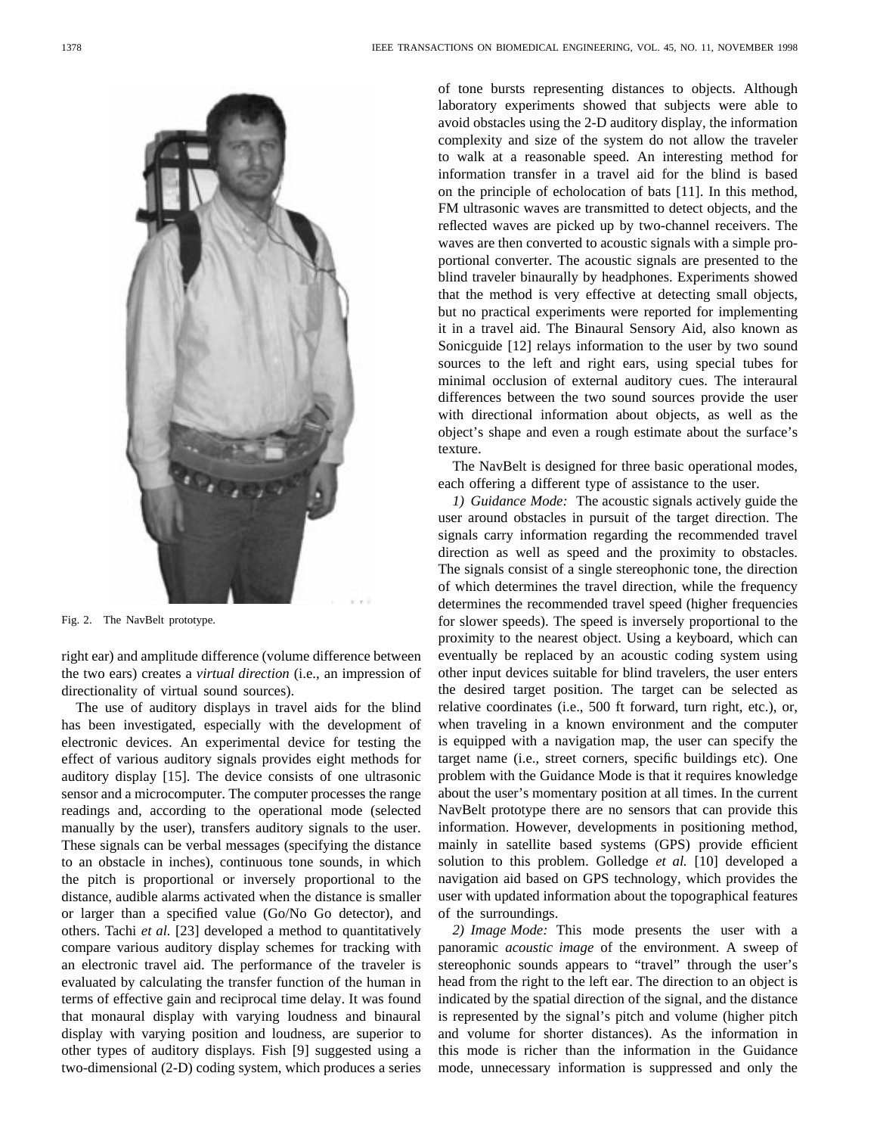

Fig. 2. The NavBelt prototype.

right ear) and amplitude difference (volume difference between the two ears) creates a *virtual direction* (i.e., an impression of directionality of virtual sound sources).

The use of auditory displays in travel aids for the blind has been investigated, especially with the development of electronic devices. An experimental device for testing the effect of various auditory signals provides eight methods for auditory display [15]. The device consists of one ultrasonic sensor and a microcomputer. The computer processes the range readings and, according to the operational mode (selected manually by the user), transfers auditory signals to the user. These signals can be verbal messages (specifying the distance to an obstacle in inches), continuous tone sounds, in which the pitch is proportional or inversely proportional to the distance, audible alarms activated when the distance is smaller or larger than a specified value (Go/No Go detector), and others. Tachi *et al.* [23] developed a method to quantitatively compare various auditory display schemes for tracking with an electronic travel aid. The performance of the traveler is evaluated by calculating the transfer function of the human in terms of effective gain and reciprocal time delay. It was found that monaural display with varying loudness and binaural display with varying position and loudness, are superior to other types of auditory displays. Fish [9] suggested using a two-dimensional (2-D) coding system, which produces a series of tone bursts representing distances to objects. Although laboratory experiments showed that subjects were able to avoid obstacles using the 2-D auditory display, the information complexity and size of the system do not allow the traveler to walk at a reasonable speed. An interesting method for information transfer in a travel aid for the blind is based on the principle of echolocation of bats [11]. In this method, FM ultrasonic waves are transmitted to detect objects, and the reflected waves are picked up by two-channel receivers. The waves are then converted to acoustic signals with a simple proportional converter. The acoustic signals are presented to the blind traveler binaurally by headphones. Experiments showed that the method is very effective at detecting small objects, but no practical experiments were reported for implementing it in a travel aid. The Binaural Sensory Aid, also known as Sonicguide [12] relays information to the user by two sound sources to the left and right ears, using special tubes for minimal occlusion of external auditory cues. The interaural differences between the two sound sources provide the user with directional information about objects, as well as the object's shape and even a rough estimate about the surface's texture.

The NavBelt is designed for three basic operational modes, each offering a different type of assistance to the user.

*1) Guidance Mode:* The acoustic signals actively guide the user around obstacles in pursuit of the target direction. The signals carry information regarding the recommended travel direction as well as speed and the proximity to obstacles. The signals consist of a single stereophonic tone, the direction of which determines the travel direction, while the frequency determines the recommended travel speed (higher frequencies for slower speeds). The speed is inversely proportional to the proximity to the nearest object. Using a keyboard, which can eventually be replaced by an acoustic coding system using other input devices suitable for blind travelers, the user enters the desired target position. The target can be selected as relative coordinates (i.e., 500 ft forward, turn right, etc.), or, when traveling in a known environment and the computer is equipped with a navigation map, the user can specify the target name (i.e., street corners, specific buildings etc). One problem with the Guidance Mode is that it requires knowledge about the user's momentary position at all times. In the current NavBelt prototype there are no sensors that can provide this information. However, developments in positioning method, mainly in satellite based systems (GPS) provide efficient solution to this problem. Golledge *et al.* [10] developed a navigation aid based on GPS technology, which provides the user with updated information about the topographical features of the surroundings.

*2) Image Mode:* This mode presents the user with a panoramic *acoustic image* of the environment. A sweep of stereophonic sounds appears to "travel" through the user's head from the right to the left ear. The direction to an object is indicated by the spatial direction of the signal, and the distance is represented by the signal's pitch and volume (higher pitch and volume for shorter distances). As the information in this mode is richer than the information in the Guidance mode, unnecessary information is suppressed and only the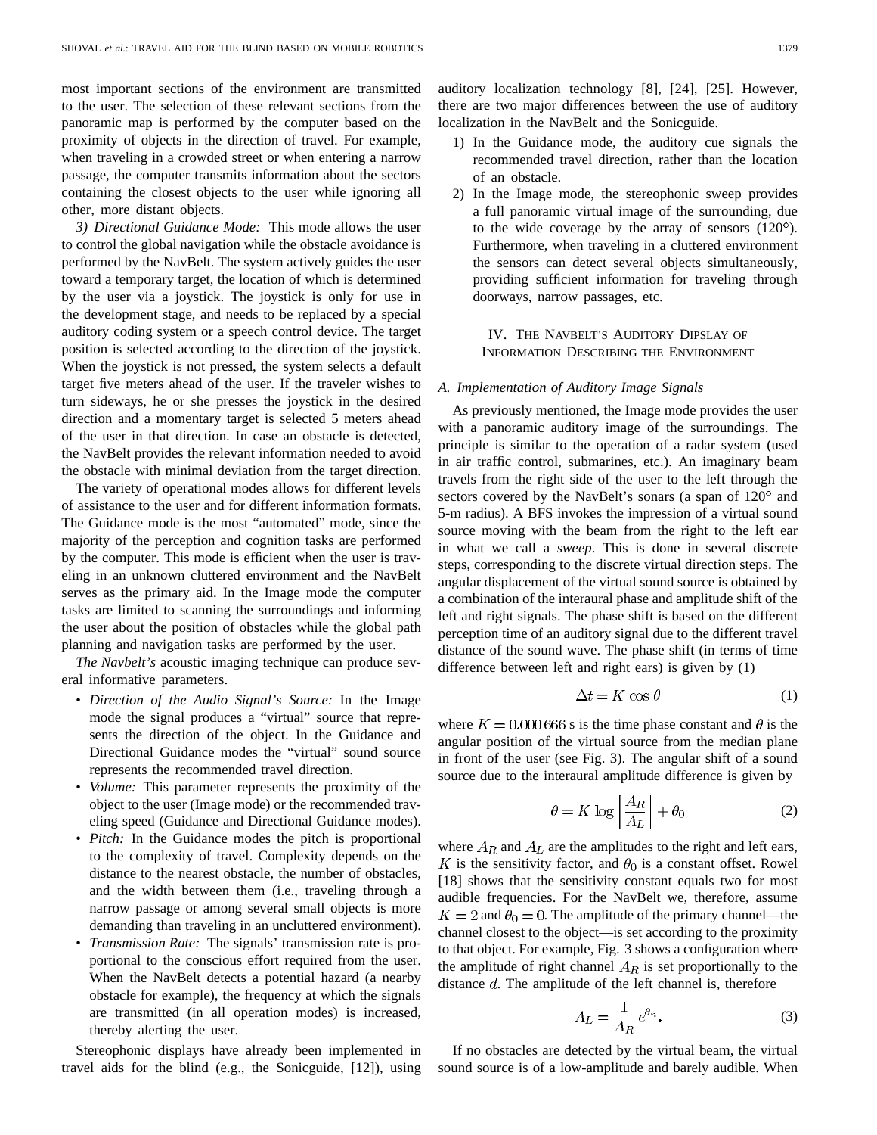most important sections of the environment are transmitted to the user. The selection of these relevant sections from the panoramic map is performed by the computer based on the proximity of objects in the direction of travel. For example, when traveling in a crowded street or when entering a narrow passage, the computer transmits information about the sectors containing the closest objects to the user while ignoring all other, more distant objects.

*3) Directional Guidance Mode:* This mode allows the user to control the global navigation while the obstacle avoidance is performed by the NavBelt. The system actively guides the user toward a temporary target, the location of which is determined by the user via a joystick. The joystick is only for use in the development stage, and needs to be replaced by a special auditory coding system or a speech control device. The target position is selected according to the direction of the joystick. When the joystick is not pressed, the system selects a default target five meters ahead of the user. If the traveler wishes to turn sideways, he or she presses the joystick in the desired direction and a momentary target is selected 5 meters ahead of the user in that direction. In case an obstacle is detected, the NavBelt provides the relevant information needed to avoid the obstacle with minimal deviation from the target direction.

The variety of operational modes allows for different levels of assistance to the user and for different information formats. The Guidance mode is the most "automated" mode, since the majority of the perception and cognition tasks are performed by the computer. This mode is efficient when the user is traveling in an unknown cluttered environment and the NavBelt serves as the primary aid. In the Image mode the computer tasks are limited to scanning the surroundings and informing the user about the position of obstacles while the global path planning and navigation tasks are performed by the user.

*The Navbelt's* acoustic imaging technique can produce several informative parameters.

- *Direction of the Audio Signal's Source:* In the Image mode the signal produces a "virtual" source that represents the direction of the object. In the Guidance and Directional Guidance modes the "virtual" sound source represents the recommended travel direction.
- *Volume:* This parameter represents the proximity of the object to the user (Image mode) or the recommended traveling speed (Guidance and Directional Guidance modes).
- *Pitch*: In the Guidance modes the pitch is proportional to the complexity of travel. Complexity depends on the distance to the nearest obstacle, the number of obstacles, and the width between them (i.e., traveling through a narrow passage or among several small objects is more demanding than traveling in an uncluttered environment).
- *Transmission Rate:* The signals' transmission rate is proportional to the conscious effort required from the user. When the NavBelt detects a potential hazard (a nearby obstacle for example), the frequency at which the signals are transmitted (in all operation modes) is increased, thereby alerting the user.

Stereophonic displays have already been implemented in travel aids for the blind (e.g., the Sonicguide, [12]), using auditory localization technology [8], [24], [25]. However, there are two major differences between the use of auditory localization in the NavBelt and the Sonicguide.

- 1) In the Guidance mode, the auditory cue signals the recommended travel direction, rather than the location of an obstacle.
- 2) In the Image mode, the stereophonic sweep provides a full panoramic virtual image of the surrounding, due to the wide coverage by the array of sensors  $(120^{\circ})$ . Furthermore, when traveling in a cluttered environment the sensors can detect several objects simultaneously, providing sufficient information for traveling through doorways, narrow passages, etc.

IV. THE NAVBELT'S AUDITORY DIPSLAY OF INFORMATION DESCRIBING THE ENVIRONMENT

# *A. Implementation of Auditory Image Signals*

As previously mentioned, the Image mode provides the user with a panoramic auditory image of the surroundings. The principle is similar to the operation of a radar system (used in air traffic control, submarines, etc.). An imaginary beam travels from the right side of the user to the left through the sectors covered by the NavBelt's sonars (a span of 120° and 5-m radius). A BFS invokes the impression of a virtual sound source moving with the beam from the right to the left ear in what we call a *sweep*. This is done in several discrete steps, corresponding to the discrete virtual direction steps. The angular displacement of the virtual sound source is obtained by a combination of the interaural phase and amplitude shift of the left and right signals. The phase shift is based on the different perception time of an auditory signal due to the different travel distance of the sound wave. The phase shift (in terms of time difference between left and right ears) is given by (1)

$$
\Delta t = K \cos \theta \tag{1}
$$

where  $K = 0.000666$  s is the time phase constant and  $\theta$  is the angular position of the virtual source from the median plane in front of the user (see Fig. 3). The angular shift of a sound source due to the interaural amplitude difference is given by

$$
\theta = K \log \left[ \frac{A_R}{A_L} \right] + \theta_0 \tag{2}
$$

where  $A_R$  and  $A_L$  are the amplitudes to the right and left ears, K is the sensitivity factor, and  $\theta_0$  is a constant offset. Rowel [18] shows that the sensitivity constant equals two for most audible frequencies. For the NavBelt we, therefore, assume  $K = 2$  and  $\theta_0 = 0$ . The amplitude of the primary channel—the channel closest to the object—is set according to the proximity to that object. For example, Fig. 3 shows a configuration where the amplitude of right channel  $A_R$  is set proportionally to the distance  $d$ . The amplitude of the left channel is, therefore

$$
A_L = \frac{1}{A_R} e^{\theta_n}.
$$
 (3)

If no obstacles are detected by the virtual beam, the virtual sound source is of a low-amplitude and barely audible. When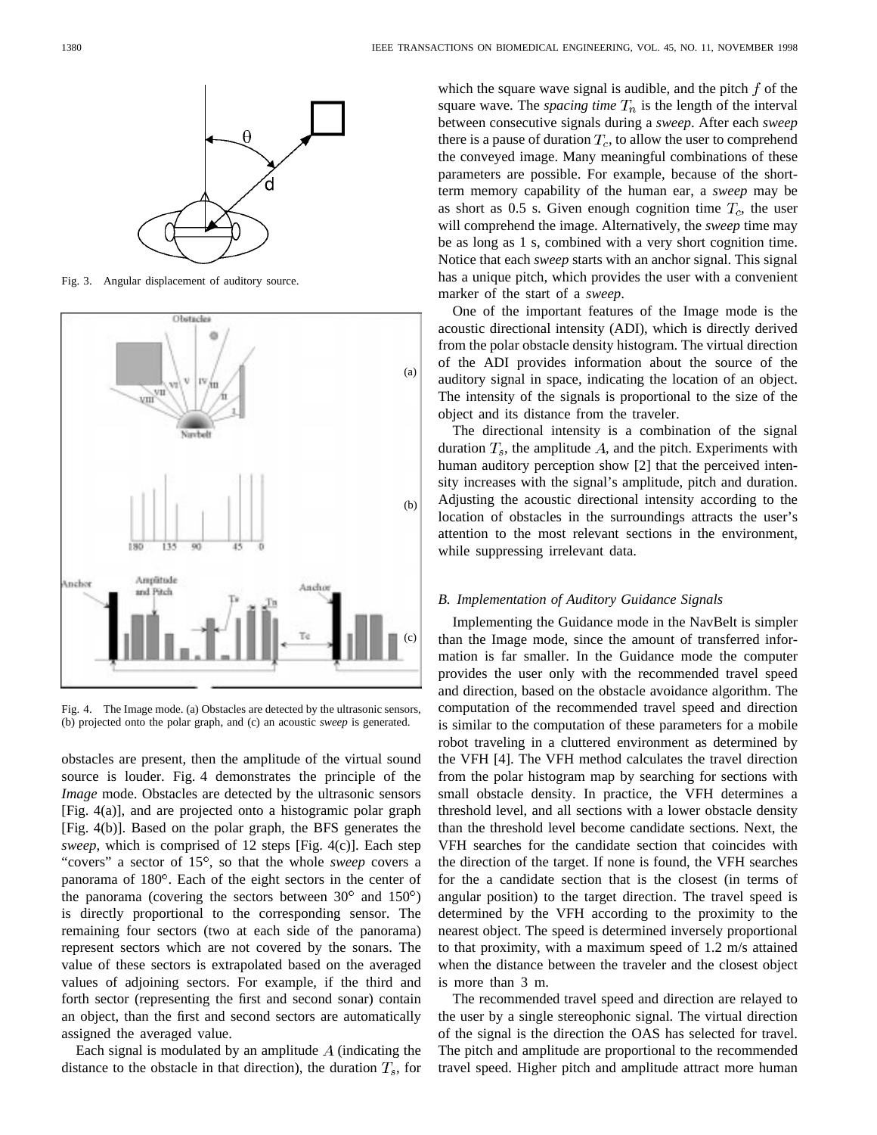

Fig. 3. Angular displacement of auditory source.



Fig. 4. The Image mode. (a) Obstacles are detected by the ultrasonic sensors, (b) projected onto the polar graph, and (c) an acoustic *sweep* is generated.

obstacles are present, then the amplitude of the virtual sound source is louder. Fig. 4 demonstrates the principle of the *Image* mode. Obstacles are detected by the ultrasonic sensors [Fig. 4(a)], and are projected onto a histogramic polar graph [Fig. 4(b)]. Based on the polar graph, the BFS generates the *sweep*, which is comprised of 12 steps [Fig. 4(c)]. Each step "covers" a sector of 15°, so that the whole *sweep* covers a panorama of  $180^\circ$ . Each of the eight sectors in the center of the panorama (covering the sectors between  $30^{\circ}$  and  $150^{\circ}$ ) is directly proportional to the corresponding sensor. The remaining four sectors (two at each side of the panorama) represent sectors which are not covered by the sonars. The value of these sectors is extrapolated based on the averaged values of adjoining sectors. For example, if the third and forth sector (representing the first and second sonar) contain an object, than the first and second sectors are automatically assigned the averaged value.

Each signal is modulated by an amplitude  $A$  (indicating the distance to the obstacle in that direction), the duration  $T_s$ , for which the square wave signal is audible, and the pitch  $f$  of the square wave. The *spacing time*  $T_n$  is the length of the interval between consecutive signals during a *sweep*. After each *sweep* there is a pause of duration  $T_c$ , to allow the user to comprehend the conveyed image. Many meaningful combinations of these parameters are possible. For example, because of the shortterm memory capability of the human ear, a *sweep* may be as short as 0.5 s. Given enough cognition time  $T_c$ , the user will comprehend the image. Alternatively, the *sweep* time may be as long as 1 s, combined with a very short cognition time. Notice that each *sweep* starts with an anchor signal. This signal has a unique pitch, which provides the user with a convenient marker of the start of a *sweep*.

One of the important features of the Image mode is the acoustic directional intensity (ADI), which is directly derived from the polar obstacle density histogram. The virtual direction of the ADI provides information about the source of the auditory signal in space, indicating the location of an object. The intensity of the signals is proportional to the size of the object and its distance from the traveler.

The directional intensity is a combination of the signal duration  $T_s$ , the amplitude  $A$ , and the pitch. Experiments with human auditory perception show [2] that the perceived intensity increases with the signal's amplitude, pitch and duration. Adjusting the acoustic directional intensity according to the location of obstacles in the surroundings attracts the user's attention to the most relevant sections in the environment, while suppressing irrelevant data.

# *B. Implementation of Auditory Guidance Signals*

Implementing the Guidance mode in the NavBelt is simpler than the Image mode, since the amount of transferred information is far smaller. In the Guidance mode the computer provides the user only with the recommended travel speed and direction, based on the obstacle avoidance algorithm. The computation of the recommended travel speed and direction is similar to the computation of these parameters for a mobile robot traveling in a cluttered environment as determined by the VFH [4]. The VFH method calculates the travel direction from the polar histogram map by searching for sections with small obstacle density. In practice, the VFH determines a threshold level, and all sections with a lower obstacle density than the threshold level become candidate sections. Next, the VFH searches for the candidate section that coincides with the direction of the target. If none is found, the VFH searches for the a candidate section that is the closest (in terms of angular position) to the target direction. The travel speed is determined by the VFH according to the proximity to the nearest object. The speed is determined inversely proportional to that proximity, with a maximum speed of 1.2 m/s attained when the distance between the traveler and the closest object is more than 3 m.

The recommended travel speed and direction are relayed to the user by a single stereophonic signal. The virtual direction of the signal is the direction the OAS has selected for travel. The pitch and amplitude are proportional to the recommended travel speed. Higher pitch and amplitude attract more human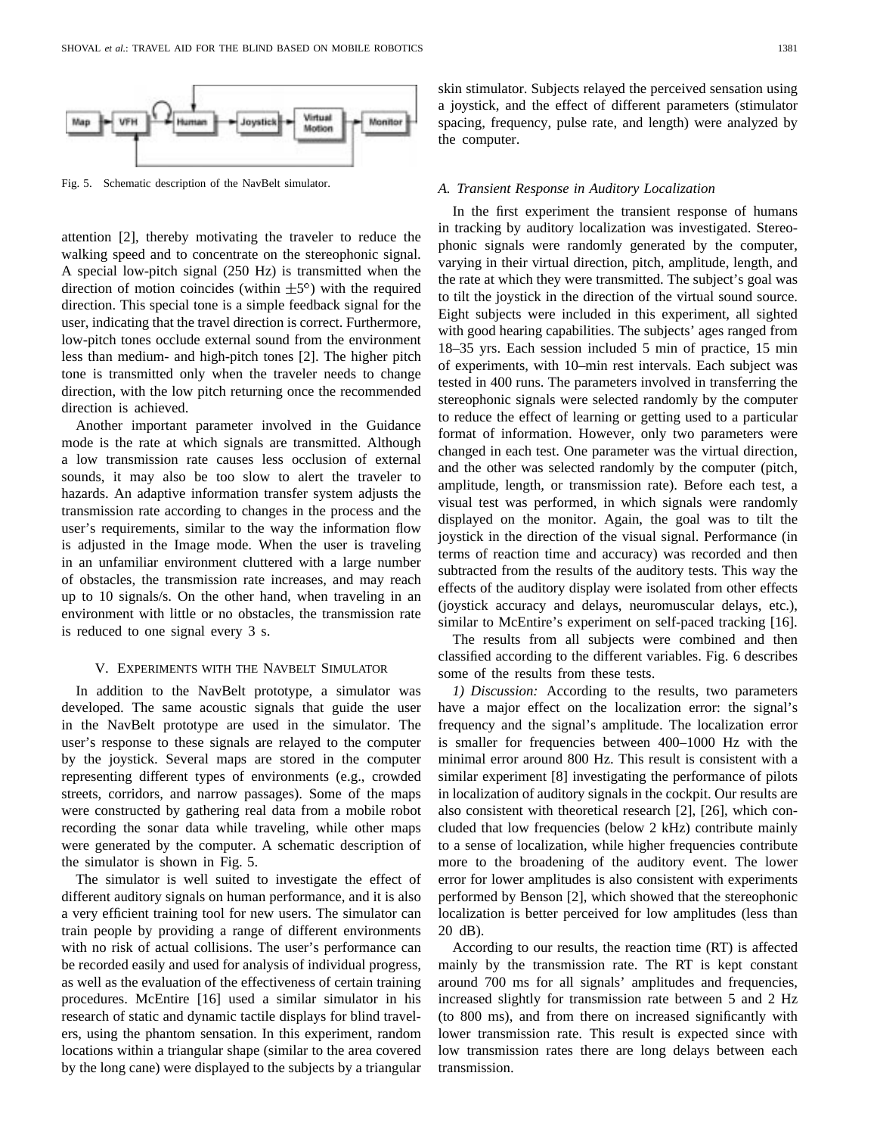

Fig. 5. Schematic description of the NavBelt simulator.

attention [2], thereby motivating the traveler to reduce the walking speed and to concentrate on the stereophonic signal. A special low-pitch signal (250 Hz) is transmitted when the direction of motion coincides (within  $\pm 5^{\circ}$ ) with the required direction. This special tone is a simple feedback signal for the user, indicating that the travel direction is correct. Furthermore, low-pitch tones occlude external sound from the environment less than medium- and high-pitch tones [2]. The higher pitch tone is transmitted only when the traveler needs to change direction, with the low pitch returning once the recommended direction is achieved.

Another important parameter involved in the Guidance mode is the rate at which signals are transmitted. Although a low transmission rate causes less occlusion of external sounds, it may also be too slow to alert the traveler to hazards. An adaptive information transfer system adjusts the transmission rate according to changes in the process and the user's requirements, similar to the way the information flow is adjusted in the Image mode. When the user is traveling in an unfamiliar environment cluttered with a large number of obstacles, the transmission rate increases, and may reach up to 10 signals/s. On the other hand, when traveling in an environment with little or no obstacles, the transmission rate is reduced to one signal every 3 s.

# V. EXPERIMENTS WITH THE NAVBELT SIMULATOR

In addition to the NavBelt prototype, a simulator was developed. The same acoustic signals that guide the user in the NavBelt prototype are used in the simulator. The user's response to these signals are relayed to the computer by the joystick. Several maps are stored in the computer representing different types of environments (e.g., crowded streets, corridors, and narrow passages). Some of the maps were constructed by gathering real data from a mobile robot recording the sonar data while traveling, while other maps were generated by the computer. A schematic description of the simulator is shown in Fig. 5.

The simulator is well suited to investigate the effect of different auditory signals on human performance, and it is also a very efficient training tool for new users. The simulator can train people by providing a range of different environments with no risk of actual collisions. The user's performance can be recorded easily and used for analysis of individual progress, as well as the evaluation of the effectiveness of certain training procedures. McEntire [16] used a similar simulator in his research of static and dynamic tactile displays for blind travelers, using the phantom sensation. In this experiment, random locations within a triangular shape (similar to the area covered by the long cane) were displayed to the subjects by a triangular

skin stimulator. Subjects relayed the perceived sensation using a joystick, and the effect of different parameters (stimulator spacing, frequency, pulse rate, and length) were analyzed by the computer.

# *A. Transient Response in Auditory Localization*

In the first experiment the transient response of humans in tracking by auditory localization was investigated. Stereophonic signals were randomly generated by the computer, varying in their virtual direction, pitch, amplitude, length, and the rate at which they were transmitted. The subject's goal was to tilt the joystick in the direction of the virtual sound source. Eight subjects were included in this experiment, all sighted with good hearing capabilities. The subjects' ages ranged from 18–35 yrs. Each session included 5 min of practice, 15 min of experiments, with 10–min rest intervals. Each subject was tested in 400 runs. The parameters involved in transferring the stereophonic signals were selected randomly by the computer to reduce the effect of learning or getting used to a particular format of information. However, only two parameters were changed in each test. One parameter was the virtual direction, and the other was selected randomly by the computer (pitch, amplitude, length, or transmission rate). Before each test, a visual test was performed, in which signals were randomly displayed on the monitor. Again, the goal was to tilt the joystick in the direction of the visual signal. Performance (in terms of reaction time and accuracy) was recorded and then subtracted from the results of the auditory tests. This way the effects of the auditory display were isolated from other effects (joystick accuracy and delays, neuromuscular delays, etc.), similar to McEntire's experiment on self-paced tracking [16].

The results from all subjects were combined and then classified according to the different variables. Fig. 6 describes some of the results from these tests.

*1) Discussion:* According to the results, two parameters have a major effect on the localization error: the signal's frequency and the signal's amplitude. The localization error is smaller for frequencies between 400–1000 Hz with the minimal error around 800 Hz. This result is consistent with a similar experiment [8] investigating the performance of pilots in localization of auditory signals in the cockpit. Our results are also consistent with theoretical research [2], [26], which concluded that low frequencies (below 2 kHz) contribute mainly to a sense of localization, while higher frequencies contribute more to the broadening of the auditory event. The lower error for lower amplitudes is also consistent with experiments performed by Benson [2], which showed that the stereophonic localization is better perceived for low amplitudes (less than 20 dB).

According to our results, the reaction time (RT) is affected mainly by the transmission rate. The RT is kept constant around 700 ms for all signals' amplitudes and frequencies, increased slightly for transmission rate between 5 and 2 Hz (to 800 ms), and from there on increased significantly with lower transmission rate. This result is expected since with low transmission rates there are long delays between each transmission.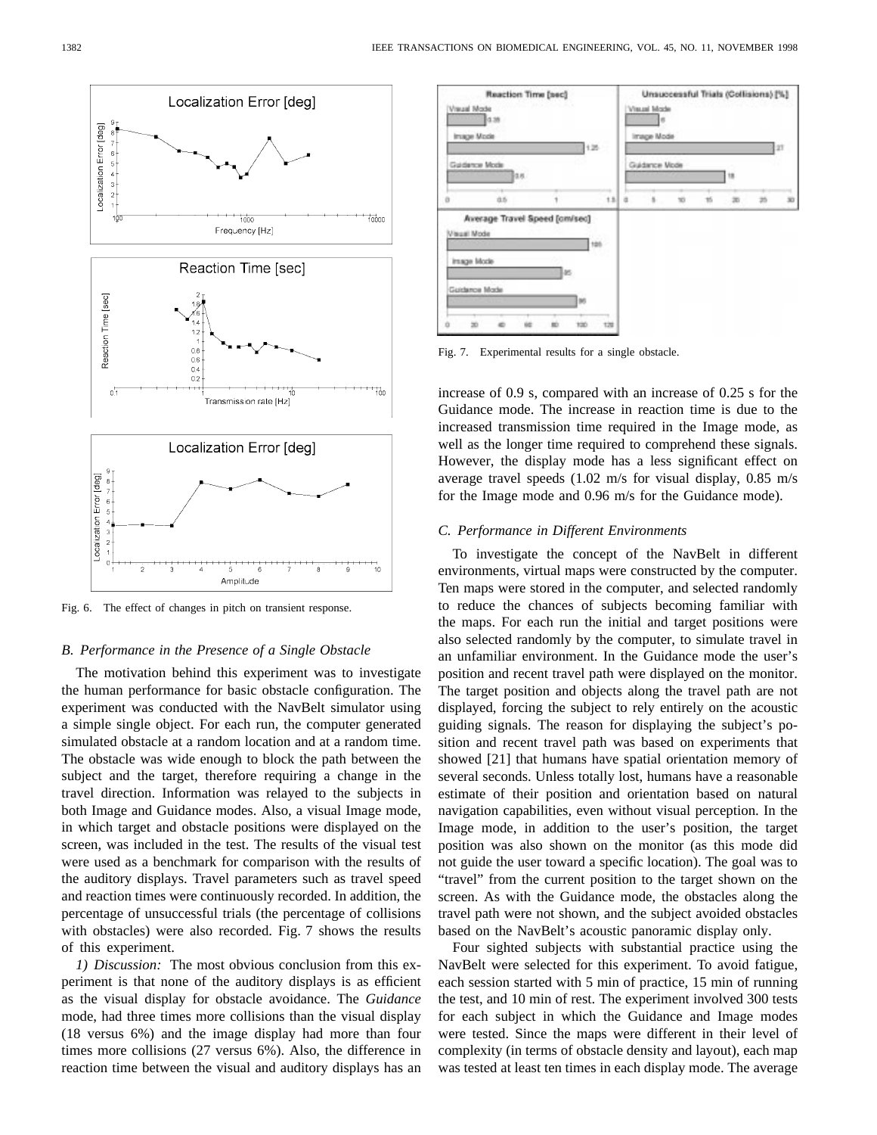

Fig. 6. The effect of changes in pitch on transient response.

#### *B. Performance in the Presence of a Single Obstacle*

The motivation behind this experiment was to investigate the human performance for basic obstacle configuration. The experiment was conducted with the NavBelt simulator using a simple single object. For each run, the computer generated simulated obstacle at a random location and at a random time. The obstacle was wide enough to block the path between the subject and the target, therefore requiring a change in the travel direction. Information was relayed to the subjects in both Image and Guidance modes. Also, a visual Image mode, in which target and obstacle positions were displayed on the screen, was included in the test. The results of the visual test were used as a benchmark for comparison with the results of the auditory displays. Travel parameters such as travel speed and reaction times were continuously recorded. In addition, the percentage of unsuccessful trials (the percentage of collisions with obstacles) were also recorded. Fig. 7 shows the results of this experiment.

*1) Discussion:* The most obvious conclusion from this experiment is that none of the auditory displays is as efficient as the visual display for obstacle avoidance. The *Guidance* mode, had three times more collisions than the visual display (18 versus 6%) and the image display had more than four times more collisions (27 versus 6%). Also, the difference in reaction time between the visual and auditory displays has an



Fig. 7. Experimental results for a single obstacle.

increase of 0.9 s, compared with an increase of 0.25 s for the Guidance mode. The increase in reaction time is due to the increased transmission time required in the Image mode, as well as the longer time required to comprehend these signals. However, the display mode has a less significant effect on average travel speeds (1.02 m/s for visual display, 0.85 m/s for the Image mode and 0.96 m/s for the Guidance mode).

# *C. Performance in Different Environments*

To investigate the concept of the NavBelt in different environments, virtual maps were constructed by the computer. Ten maps were stored in the computer, and selected randomly to reduce the chances of subjects becoming familiar with the maps. For each run the initial and target positions were also selected randomly by the computer, to simulate travel in an unfamiliar environment. In the Guidance mode the user's position and recent travel path were displayed on the monitor. The target position and objects along the travel path are not displayed, forcing the subject to rely entirely on the acoustic guiding signals. The reason for displaying the subject's position and recent travel path was based on experiments that showed [21] that humans have spatial orientation memory of several seconds. Unless totally lost, humans have a reasonable estimate of their position and orientation based on natural navigation capabilities, even without visual perception. In the Image mode, in addition to the user's position, the target position was also shown on the monitor (as this mode did not guide the user toward a specific location). The goal was to "travel" from the current position to the target shown on the screen. As with the Guidance mode, the obstacles along the travel path were not shown, and the subject avoided obstacles based on the NavBelt's acoustic panoramic display only.

Four sighted subjects with substantial practice using the NavBelt were selected for this experiment. To avoid fatigue, each session started with 5 min of practice, 15 min of running the test, and 10 min of rest. The experiment involved 300 tests for each subject in which the Guidance and Image modes were tested. Since the maps were different in their level of complexity (in terms of obstacle density and layout), each map was tested at least ten times in each display mode. The average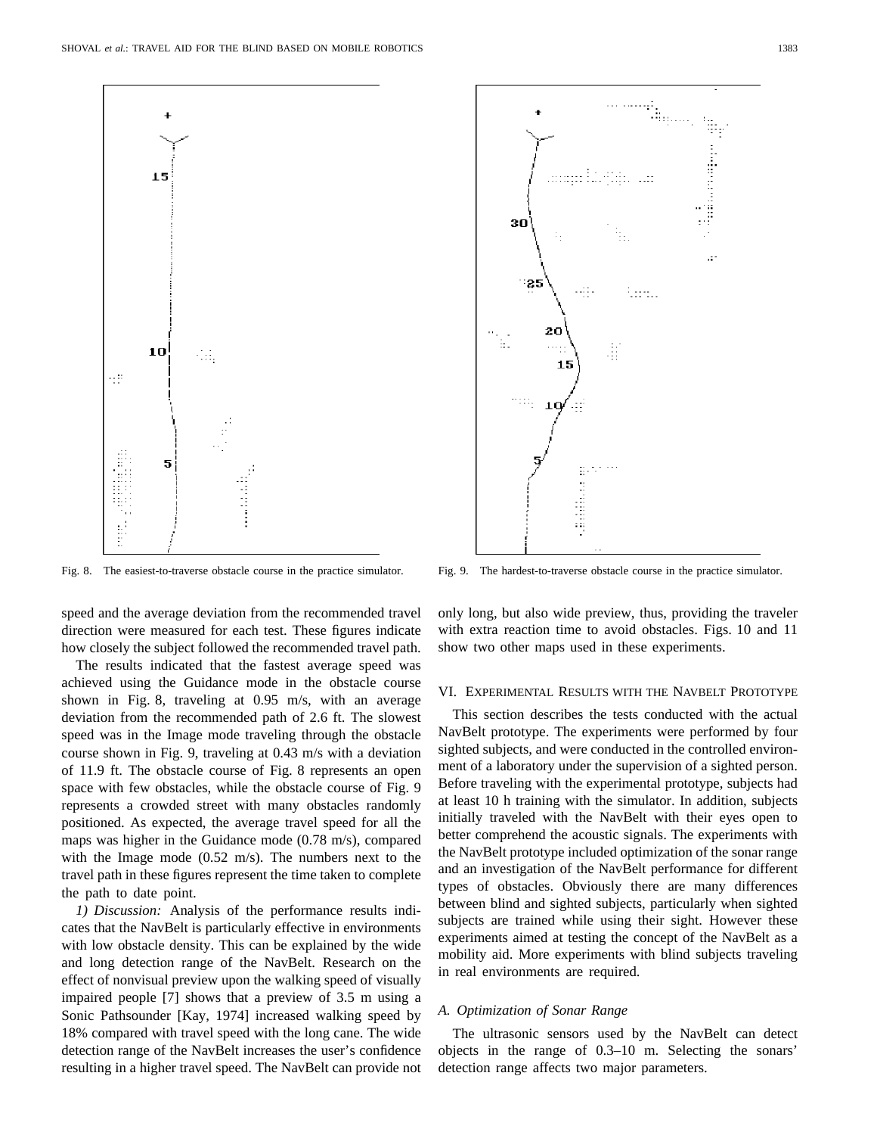

Fig. 8. The easiest-to-traverse obstacle course in the practice simulator.

speed and the average deviation from the recommended travel direction were measured for each test. These figures indicate how closely the subject followed the recommended travel path.

The results indicated that the fastest average speed was achieved using the Guidance mode in the obstacle course shown in Fig. 8, traveling at 0.95 m/s, with an average deviation from the recommended path of 2.6 ft. The slowest speed was in the Image mode traveling through the obstacle course shown in Fig. 9, traveling at 0.43 m/s with a deviation of 11.9 ft. The obstacle course of Fig. 8 represents an open space with few obstacles, while the obstacle course of Fig. 9 represents a crowded street with many obstacles randomly positioned. As expected, the average travel speed for all the maps was higher in the Guidance mode (0.78 m/s), compared with the Image mode (0.52 m/s). The numbers next to the travel path in these figures represent the time taken to complete the path to date point.

*1) Discussion:* Analysis of the performance results indicates that the NavBelt is particularly effective in environments with low obstacle density. This can be explained by the wide and long detection range of the NavBelt. Research on the effect of nonvisual preview upon the walking speed of visually impaired people [7] shows that a preview of 3.5 m using a Sonic Pathsounder [Kay, 1974] increased walking speed by 18% compared with travel speed with the long cane. The wide detection range of the NavBelt increases the user's confidence resulting in a higher travel speed. The NavBelt can provide not



Fig. 9. The hardest-to-traverse obstacle course in the practice simulator.

only long, but also wide preview, thus, providing the traveler with extra reaction time to avoid obstacles. Figs. 10 and 11 show two other maps used in these experiments.

# VI. EXPERIMENTAL RESULTS WITH THE NAVBELT PROTOTYPE

This section describes the tests conducted with the actual NavBelt prototype. The experiments were performed by four sighted subjects, and were conducted in the controlled environment of a laboratory under the supervision of a sighted person. Before traveling with the experimental prototype, subjects had at least 10 h training with the simulator. In addition, subjects initially traveled with the NavBelt with their eyes open to better comprehend the acoustic signals. The experiments with the NavBelt prototype included optimization of the sonar range and an investigation of the NavBelt performance for different types of obstacles. Obviously there are many differences between blind and sighted subjects, particularly when sighted subjects are trained while using their sight. However these experiments aimed at testing the concept of the NavBelt as a mobility aid. More experiments with blind subjects traveling in real environments are required.

## *A. Optimization of Sonar Range*

The ultrasonic sensors used by the NavBelt can detect objects in the range of 0.3–10 m. Selecting the sonars' detection range affects two major parameters.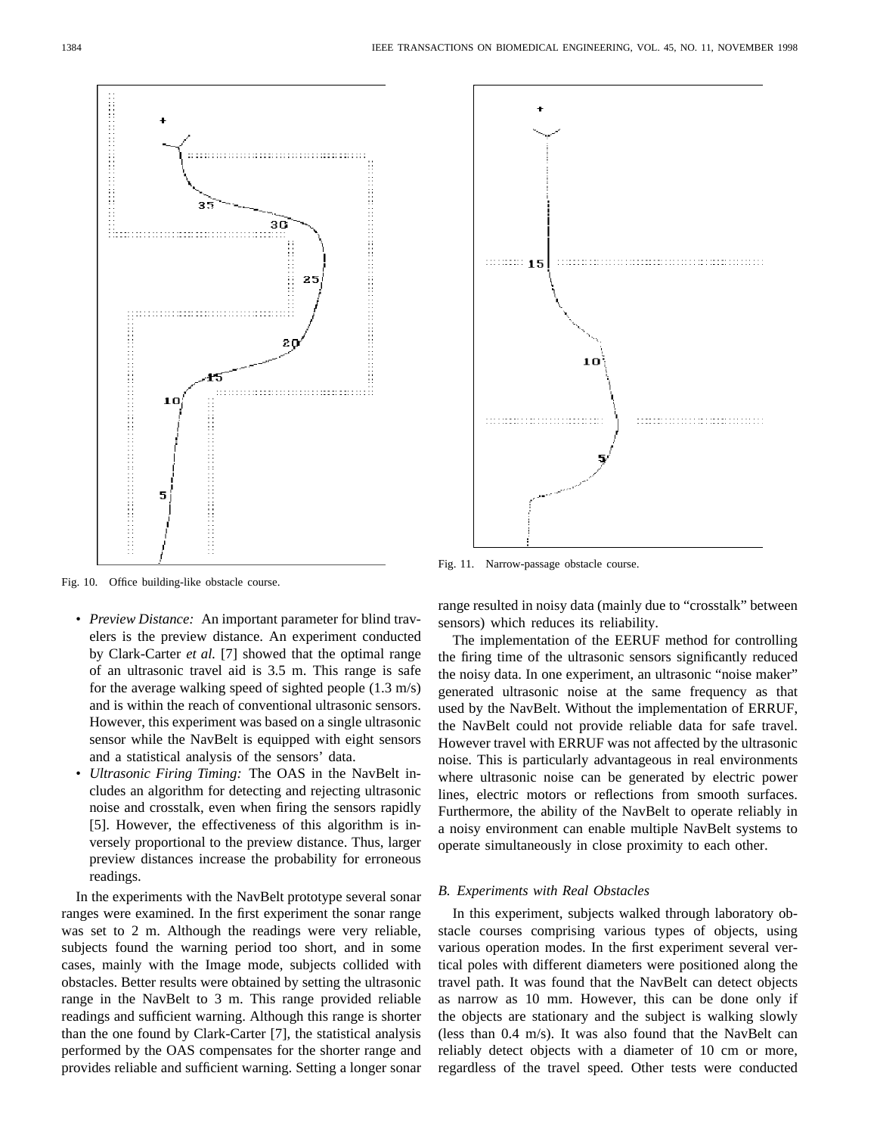



Fig. 10. Office building-like obstacle course.

- *Preview Distance:* An important parameter for blind travelers is the preview distance. An experiment conducted by Clark-Carter *et al.* [7] showed that the optimal range of an ultrasonic travel aid is 3.5 m. This range is safe for the average walking speed of sighted people (1.3 m/s) and is within the reach of conventional ultrasonic sensors. However, this experiment was based on a single ultrasonic sensor while the NavBelt is equipped with eight sensors and a statistical analysis of the sensors' data.
- *Ultrasonic Firing Timing:* The OAS in the NavBelt includes an algorithm for detecting and rejecting ultrasonic noise and crosstalk, even when firing the sensors rapidly [5]. However, the effectiveness of this algorithm is inversely proportional to the preview distance. Thus, larger preview distances increase the probability for erroneous readings.

In the experiments with the NavBelt prototype several sonar ranges were examined. In the first experiment the sonar range was set to 2 m. Although the readings were very reliable, subjects found the warning period too short, and in some cases, mainly with the Image mode, subjects collided with obstacles. Better results were obtained by setting the ultrasonic range in the NavBelt to 3 m. This range provided reliable readings and sufficient warning. Although this range is shorter than the one found by Clark-Carter [7], the statistical analysis performed by the OAS compensates for the shorter range and provides reliable and sufficient warning. Setting a longer sonar

Fig. 11. Narrow-passage obstacle course.

range resulted in noisy data (mainly due to "crosstalk" between sensors) which reduces its reliability.

The implementation of the EERUF method for controlling the firing time of the ultrasonic sensors significantly reduced the noisy data. In one experiment, an ultrasonic "noise maker" generated ultrasonic noise at the same frequency as that used by the NavBelt. Without the implementation of ERRUF, the NavBelt could not provide reliable data for safe travel. However travel with ERRUF was not affected by the ultrasonic noise. This is particularly advantageous in real environments where ultrasonic noise can be generated by electric power lines, electric motors or reflections from smooth surfaces. Furthermore, the ability of the NavBelt to operate reliably in a noisy environment can enable multiple NavBelt systems to operate simultaneously in close proximity to each other.

## *B. Experiments with Real Obstacles*

In this experiment, subjects walked through laboratory obstacle courses comprising various types of objects, using various operation modes. In the first experiment several vertical poles with different diameters were positioned along the travel path. It was found that the NavBelt can detect objects as narrow as 10 mm. However, this can be done only if the objects are stationary and the subject is walking slowly (less than 0.4 m/s). It was also found that the NavBelt can reliably detect objects with a diameter of 10 cm or more, regardless of the travel speed. Other tests were conducted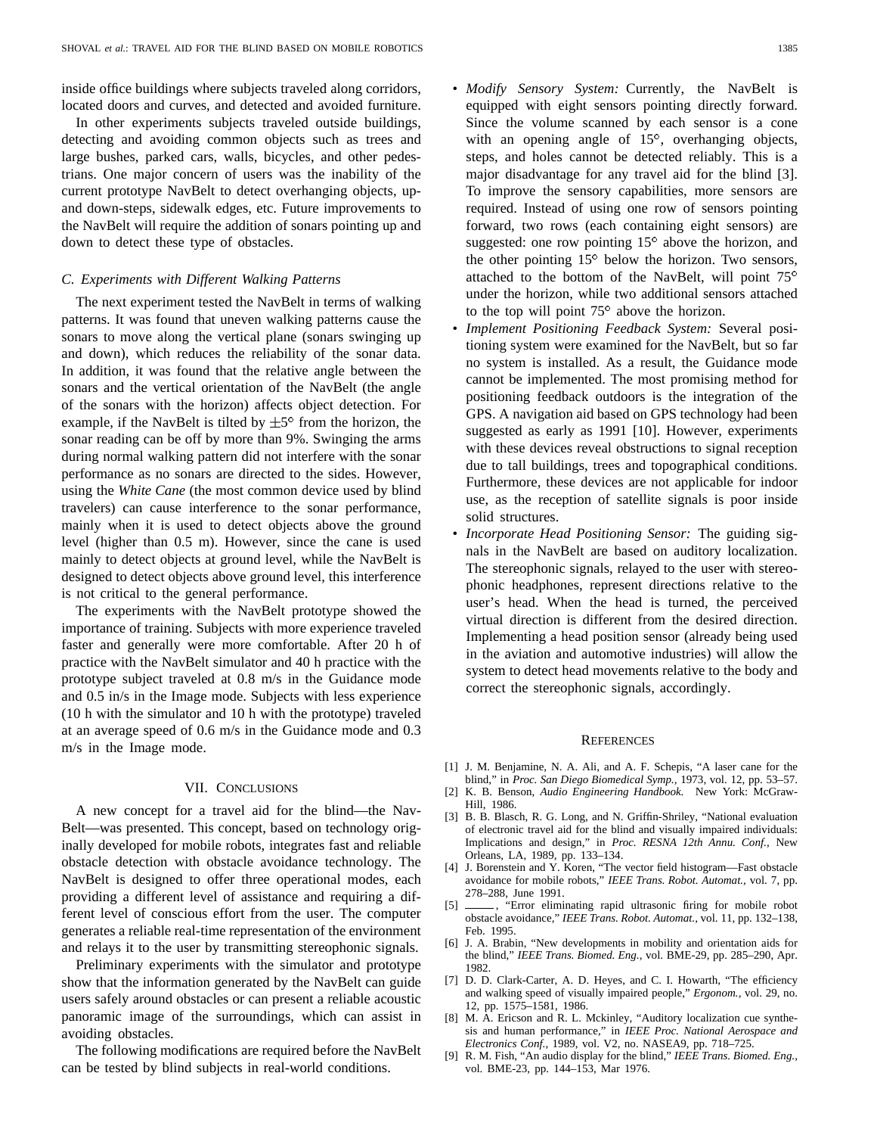inside office buildings where subjects traveled along corridors, located doors and curves, and detected and avoided furniture.

In other experiments subjects traveled outside buildings, detecting and avoiding common objects such as trees and large bushes, parked cars, walls, bicycles, and other pedestrians. One major concern of users was the inability of the current prototype NavBelt to detect overhanging objects, upand down-steps, sidewalk edges, etc. Future improvements to the NavBelt will require the addition of sonars pointing up and down to detect these type of obstacles.

## *C. Experiments with Different Walking Patterns*

The next experiment tested the NavBelt in terms of walking patterns. It was found that uneven walking patterns cause the sonars to move along the vertical plane (sonars swinging up and down), which reduces the reliability of the sonar data. In addition, it was found that the relative angle between the sonars and the vertical orientation of the NavBelt (the angle of the sonars with the horizon) affects object detection. For example, if the NavBelt is tilted by  $\pm 5^{\circ}$  from the horizon, the sonar reading can be off by more than 9%. Swinging the arms during normal walking pattern did not interfere with the sonar performance as no sonars are directed to the sides. However, using the *White Cane* (the most common device used by blind travelers) can cause interference to the sonar performance, mainly when it is used to detect objects above the ground level (higher than 0.5 m). However, since the cane is used mainly to detect objects at ground level, while the NavBelt is designed to detect objects above ground level, this interference is not critical to the general performance.

The experiments with the NavBelt prototype showed the importance of training. Subjects with more experience traveled faster and generally were more comfortable. After 20 h of practice with the NavBelt simulator and 40 h practice with the prototype subject traveled at 0.8 m/s in the Guidance mode and 0.5 in/s in the Image mode. Subjects with less experience (10 h with the simulator and 10 h with the prototype) traveled at an average speed of 0.6 m/s in the Guidance mode and 0.3 m/s in the Image mode.

# VII. CONCLUSIONS

A new concept for a travel aid for the blind—the Nav-Belt—was presented. This concept, based on technology originally developed for mobile robots, integrates fast and reliable obstacle detection with obstacle avoidance technology. The NavBelt is designed to offer three operational modes, each providing a different level of assistance and requiring a different level of conscious effort from the user. The computer generates a reliable real-time representation of the environment and relays it to the user by transmitting stereophonic signals.

Preliminary experiments with the simulator and prototype show that the information generated by the NavBelt can guide users safely around obstacles or can present a reliable acoustic panoramic image of the surroundings, which can assist in avoiding obstacles.

The following modifications are required before the NavBelt can be tested by blind subjects in real-world conditions.

- *Modify Sensory System:* Currently, the NavBelt is equipped with eight sensors pointing directly forward. Since the volume scanned by each sensor is a cone with an opening angle of  $15^{\circ}$ , overhanging objects, steps, and holes cannot be detected reliably. This is a major disadvantage for any travel aid for the blind [3]. To improve the sensory capabilities, more sensors are required. Instead of using one row of sensors pointing forward, two rows (each containing eight sensors) are suggested: one row pointing  $15^{\circ}$  above the horizon, and the other pointing  $15^{\circ}$  below the horizon. Two sensors, attached to the bottom of the NavBelt, will point 75 under the horizon, while two additional sensors attached to the top will point  $75^{\circ}$  above the horizon.
- *Implement Positioning Feedback System:* Several positioning system were examined for the NavBelt, but so far no system is installed. As a result, the Guidance mode cannot be implemented. The most promising method for positioning feedback outdoors is the integration of the GPS. A navigation aid based on GPS technology had been suggested as early as 1991 [10]. However, experiments with these devices reveal obstructions to signal reception due to tall buildings, trees and topographical conditions. Furthermore, these devices are not applicable for indoor use, as the reception of satellite signals is poor inside solid structures.
- *Incorporate Head Positioning Sensor:* The guiding signals in the NavBelt are based on auditory localization. The stereophonic signals, relayed to the user with stereophonic headphones, represent directions relative to the user's head. When the head is turned, the perceived virtual direction is different from the desired direction. Implementing a head position sensor (already being used in the aviation and automotive industries) will allow the system to detect head movements relative to the body and correct the stereophonic signals, accordingly.

#### **REFERENCES**

- [1] J. M. Benjamine, N. A. Ali, and A. F. Schepis, "A laser cane for the blind," in *Proc. San Diego Biomedical Symp.,* 1973, vol. 12, pp. 53–57.
- [2] K. B. Benson, *Audio Engineering Handbook.* New York: McGraw-Hill, 1986.
- [3] B. B. Blasch, R. G. Long, and N. Griffin-Shriley, "National evaluation of electronic travel aid for the blind and visually impaired individuals: Implications and design," in *Proc. RESNA 12th Annu. Conf.,* New Orleans, LA, 1989, pp. 133–134.
- [4] J. Borenstein and Y. Koren, "The vector field histogram—Fast obstacle avoidance for mobile robots," *IEEE Trans. Robot. Automat.,* vol. 7, pp. 278–288, June 1991.
- [5] \_\_\_\_\_, "Error eliminating rapid ultrasonic firing for mobile robot obstacle avoidance," *IEEE Trans. Robot. Automat.,* vol. 11, pp. 132–138, Feb. 1995.
- [6] J. A. Brabin, "New developments in mobility and orientation aids for the blind," *IEEE Trans. Biomed. Eng.,* vol. BME-29, pp. 285–290, Apr. 1982.
- [7] D. D. Clark-Carter, A. D. Heyes, and C. I. Howarth, "The efficiency and walking speed of visually impaired people," *Ergonom.,* vol. 29, no. 12, pp. 1575–1581, 1986.
- [8] M. A. Ericson and R. L. Mckinley, "Auditory localization cue synthesis and human performance," in *IEEE Proc. National Aerospace and Electronics Conf.,* 1989, vol. V2, no. NASEA9, pp. 718–725.
- [9] R. M. Fish, "An audio display for the blind," *IEEE Trans. Biomed. Eng.,* vol. BME-23, pp. 144–153, Mar 1976.